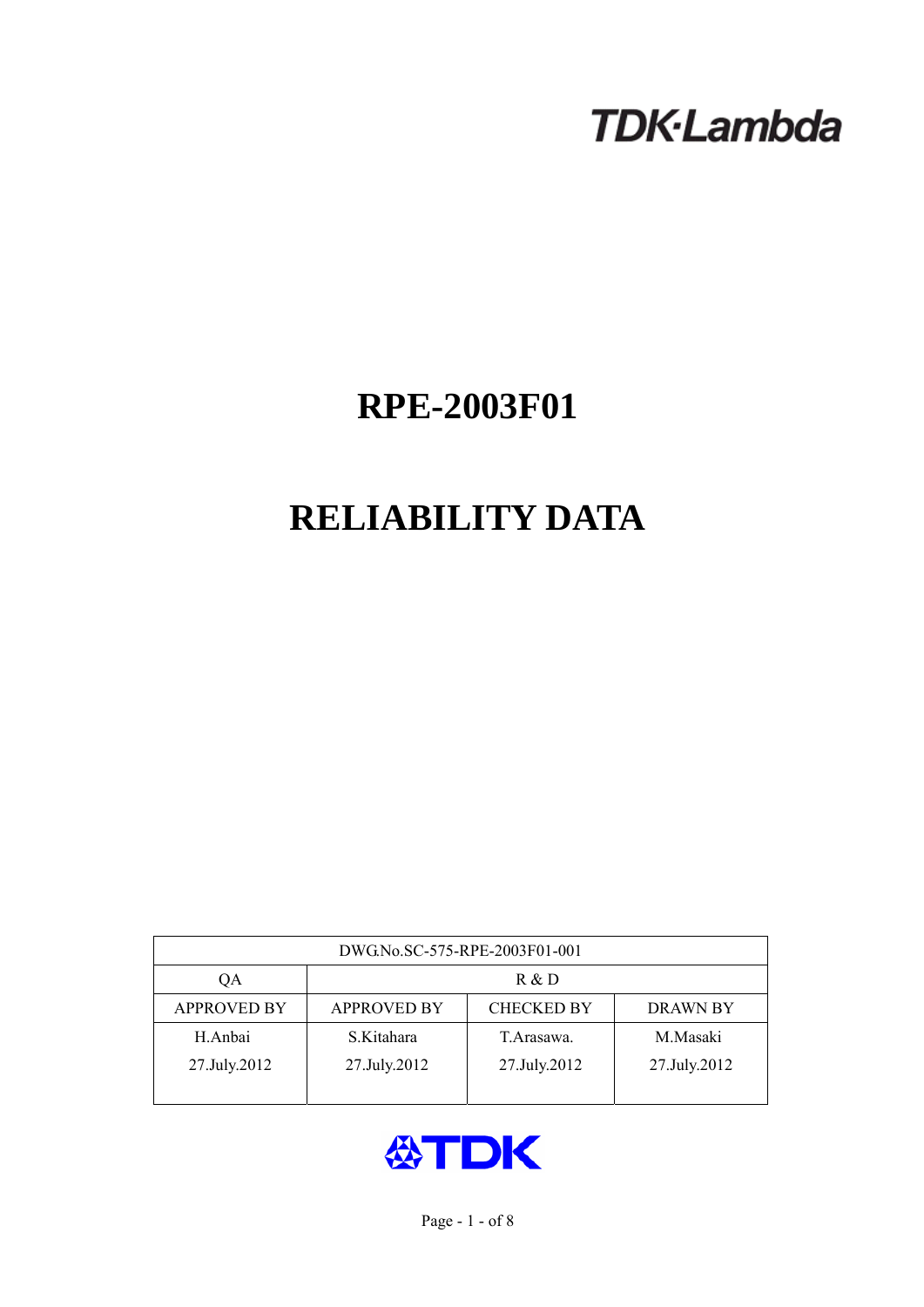# **TDK-Lambda**

# **RPE-2003F01**

# **RELIABILITY DATA**

| DWG.No.SC-575-RPE-2003F01-001 |                                                            |              |              |  |  |  |  |
|-------------------------------|------------------------------------------------------------|--------------|--------------|--|--|--|--|
| ОA                            | R & D                                                      |              |              |  |  |  |  |
| <b>APPROVED BY</b>            | <b>CHECKED BY</b><br><b>APPROVED BY</b><br><b>DRAWN BY</b> |              |              |  |  |  |  |
| H.Anbai                       | S.Kitahara                                                 | T Arasawa.   | M.Masaki     |  |  |  |  |
| 27.July.2012                  | 27.July.2012                                               | 27.July.2012 | 27.July.2012 |  |  |  |  |
|                               |                                                            |              |              |  |  |  |  |

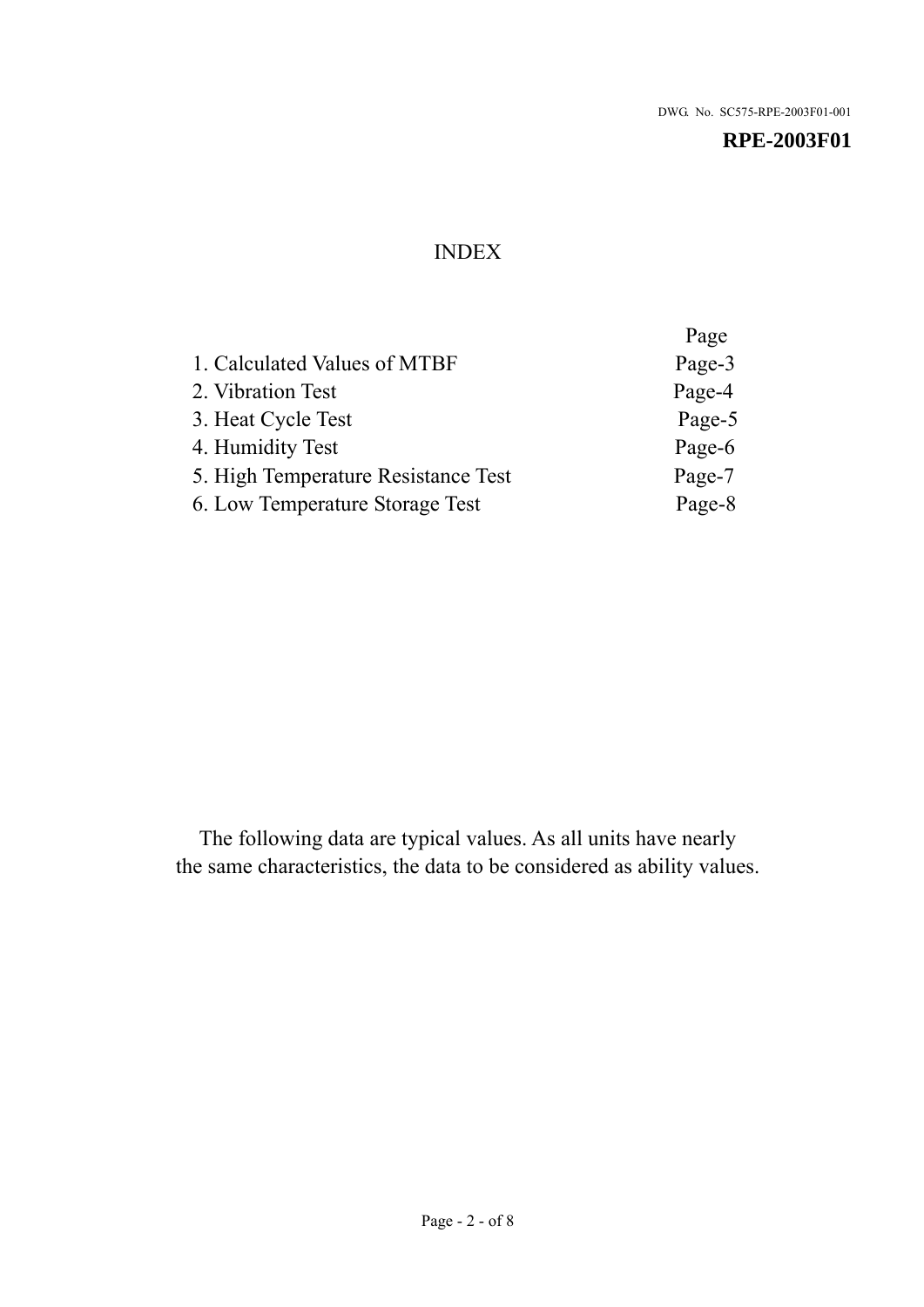# INDEX

|                                     | Page   |
|-------------------------------------|--------|
| 1. Calculated Values of MTBF        | Page-3 |
| 2. Vibration Test                   | Page-4 |
| 3. Heat Cycle Test                  | Page-5 |
| 4. Humidity Test                    | Page-6 |
| 5. High Temperature Resistance Test | Page-7 |
| 6. Low Temperature Storage Test     | Page-8 |
|                                     |        |

The following data are typical values. As all units have nearly the same characteristics, the data to be considered as ability values.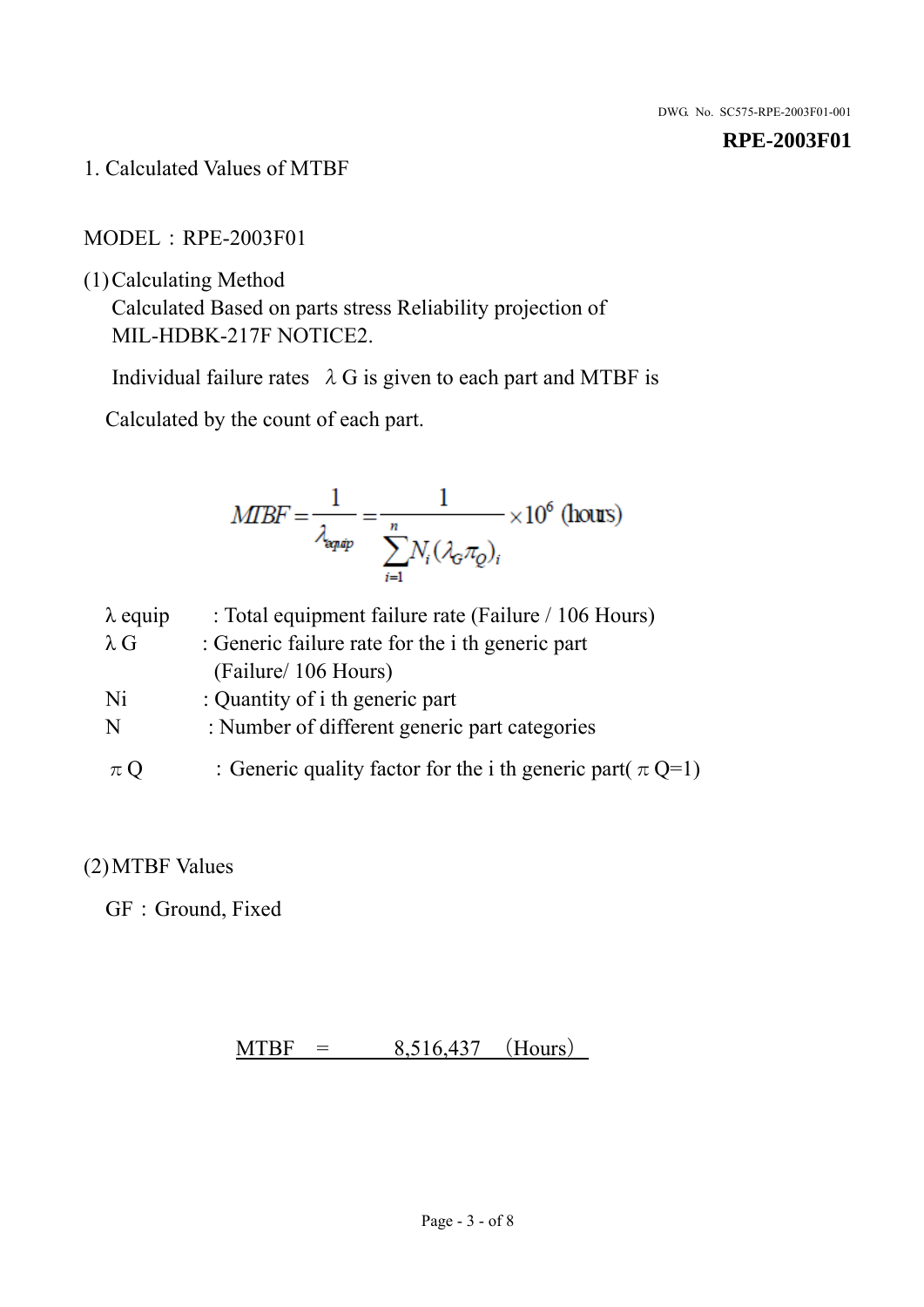1. Calculated Values of MTBF

MODEL:RPE-2003F01

(1)Calculating Method

Calculated Based on parts stress Reliability projection of MIL-HDBK-217F NOTICE2.

Individual failure rates  $\lambda$  G is given to each part and MTBF is

Calculated by the count of each part.

$$
MIBF = \frac{1}{\lambda_{\text{expap}}} = \frac{1}{\sum_{i=1}^{n} N_i (\lambda_{\text{G}} \pi_Q)_i} \times 10^6 \text{ (hours)}
$$

| $\lambda$ equip | : Total equipment failure rate (Failure / 106 Hours)            |
|-----------------|-----------------------------------------------------------------|
| $\lambda$ G     | : Generic failure rate for the <i>i</i> th generic part         |
|                 | (Failure/ 106 Hours)                                            |
| Ni              | : Quantity of i th generic part                                 |
| N               | : Number of different generic part categories                   |
| $\pi Q$         | : Generic quality factor for the i th generic part( $\pi Q=1$ ) |

# (2)MTBF Values

GF: Ground, Fixed

 $MTBF = 8,516,437$  (Hours)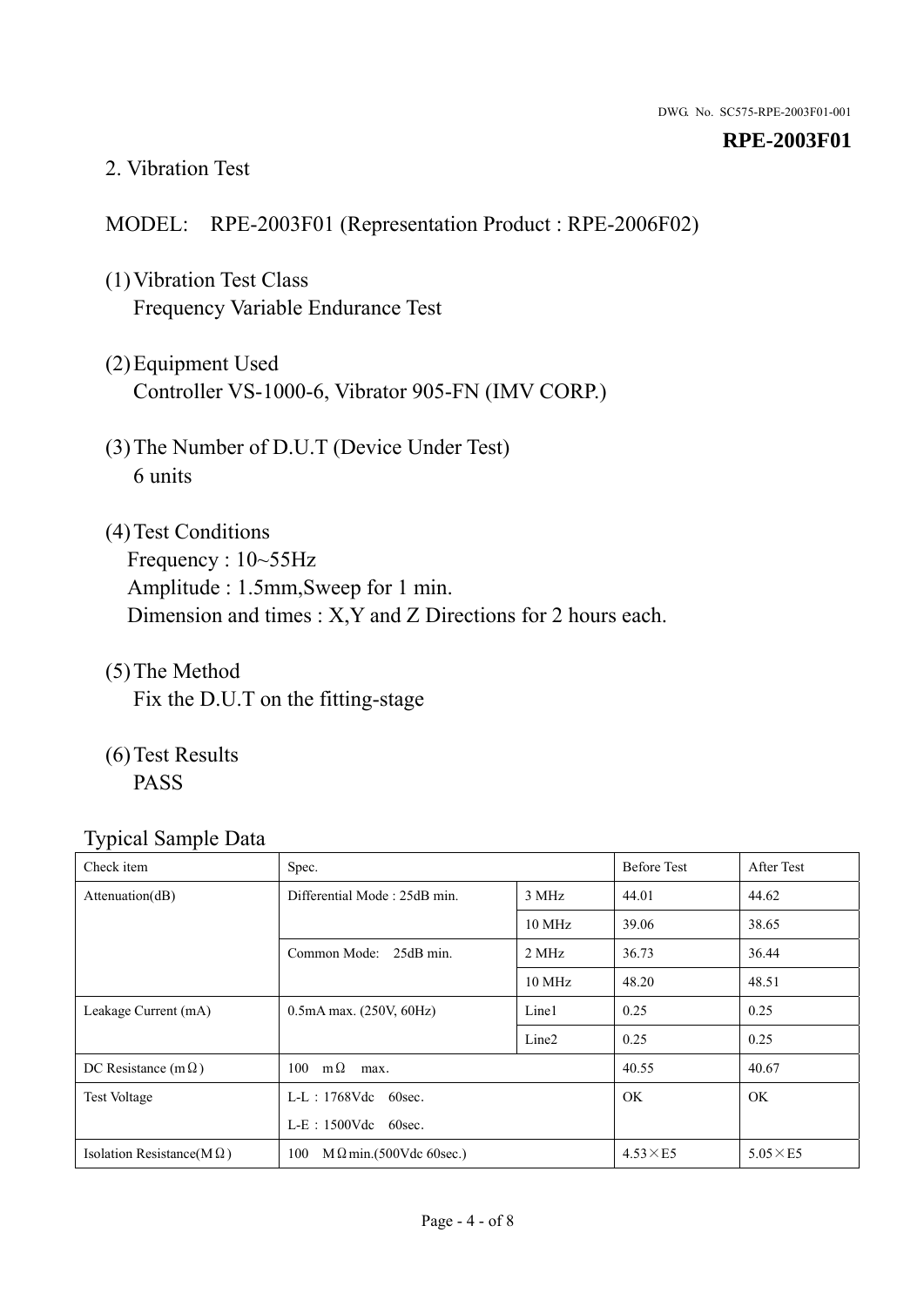## 2. Vibration Test

# MODEL: RPE-2003F01 (Representation Product : RPE-2006F02)

- (1)Vibration Test Class Frequency Variable Endurance Test
- (2)Equipment Used Controller VS-1000-6, Vibrator 905-FN (IMV CORP.)
- (3)The Number of D.U.T (Device Under Test) 6 units
- (4) Test Conditions Frequency : 10~55Hz Amplitude : 1.5mm,Sweep for 1 min. Dimension and times : X,Y and Z Directions for 2 hours each.
- (5)The Method Fix the D.U.T on the fitting-stage
- (6)Test Results PASS

| Check item                        | Spec.                                |                   | <b>Before Test</b> | After Test      |
|-----------------------------------|--------------------------------------|-------------------|--------------------|-----------------|
| Attenuation(dB)                   | Differential Mode: 25dB min.         |                   | 44.01              | 44.62           |
|                                   |                                      | $10 \text{ MHz}$  | 39.06              | 38.65           |
|                                   | Common Mode: 25dB min.               | 2 MHz             | 36.73              | 36.44           |
|                                   |                                      | 10 MHz            | 48.20              | 48.51           |
| Leakage Current (mA)              | $0.5mA$ max. $(250V, 60Hz)$          | Line1             | 0.25               | 0.25            |
|                                   |                                      | Line <sub>2</sub> | 0.25               | 0.25            |
| DC Resistance (m $\Omega$ )       | $100 \text{ m}\Omega$<br>max.        |                   | 40.55              | 40.67           |
| <b>Test Voltage</b>               | $L-L$ : 1768Vdc 60sec.               |                   | <b>OK</b>          | <b>OK</b>       |
|                                   | $L-E$ : 1500Vdc 60sec.               |                   |                    |                 |
| Isolation Resistance( $M\Omega$ ) | 100<br>$M\Omega$ min.(500Vdc 60sec.) |                   | $4.53\times E5$    | $5.05\times E5$ |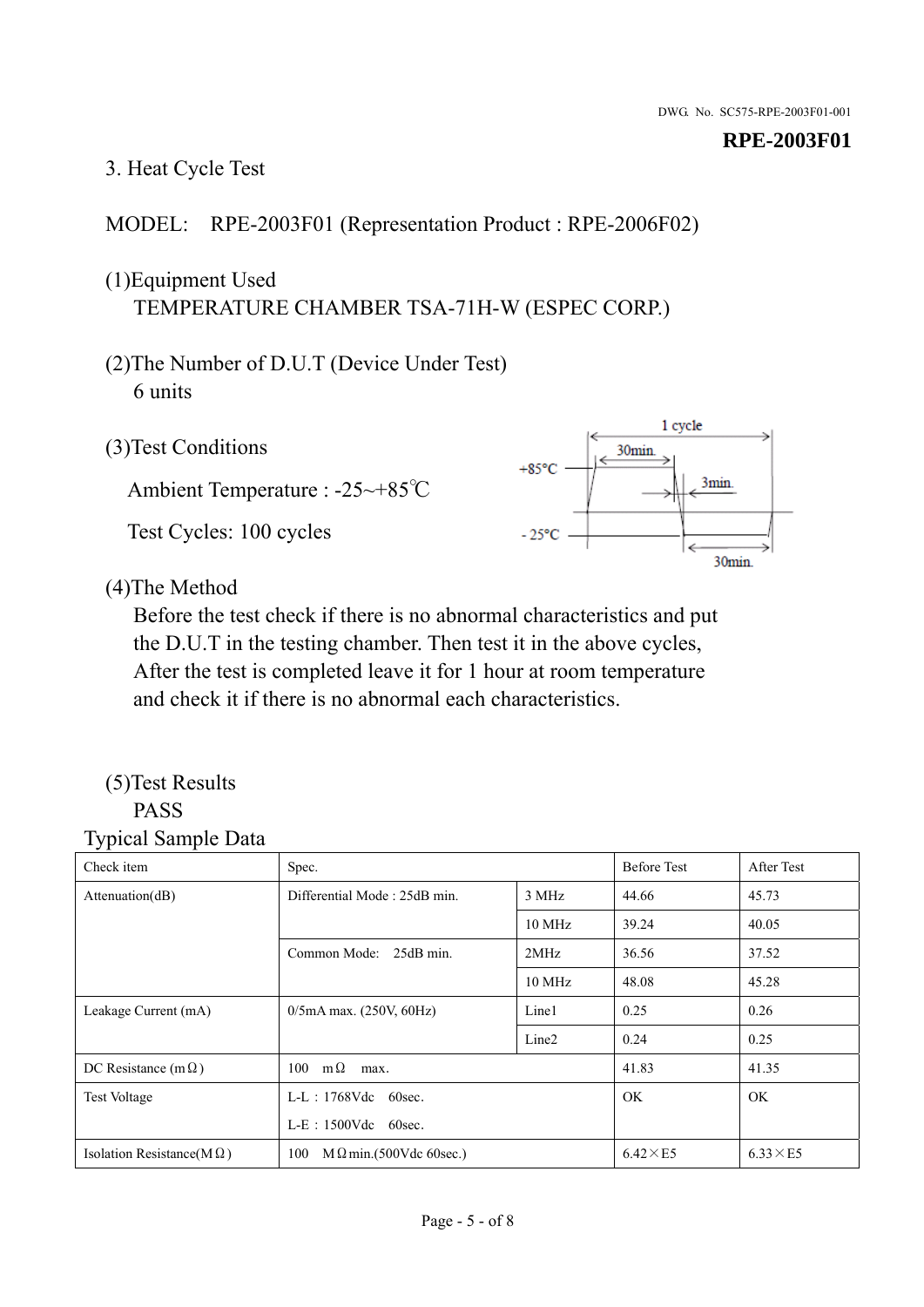# 3. Heat Cycle Test

## MODEL: RPE-2003F01 (Representation Product : RPE-2006F02)

# (1)Equipment Used TEMPERATURE CHAMBER TSA-71H-W (ESPEC CORP.)

- (2)The Number of D.U.T (Device Under Test) 6 units
- 1 cycle (3)Test Conditions 30<sub>min</sub>  $+85^{\circ}$ C 3min. Ambient Temperature : -25~+85℃ Test Cycles: 100 cycles  $-25^{\circ}$ C 30min.

(4)The Method

Before the test check if there is no abnormal characteristics and put the D.U.T in the testing chamber. Then test it in the above cycles, After the test is completed leave it for 1 hour at room temperature and check it if there is no abnormal each characteristics.

#### (5)Test Results PASS

| ັ່<br>л.<br>Check item            | Spec.                                 |                   | <b>Before Test</b> | After Test      |
|-----------------------------------|---------------------------------------|-------------------|--------------------|-----------------|
| Attenuation(dB)                   | Differential Mode: 25dB min.<br>3 MHz |                   | 44.66              | 45.73           |
|                                   |                                       | 10 MHz            | 39.24              | 40.05           |
|                                   | Common Mode: 25dB min.                | 2MHz              | 36.56              | 37.52           |
|                                   |                                       | 10 MHz            | 48.08              | 45.28           |
| Leakage Current (mA)              | $0/5$ mA max. (250V, 60Hz)            | Line1             | 0.25               | 0.26            |
|                                   |                                       | Line <sub>2</sub> | 0.24               | 0.25            |
| DC Resistance $(m \Omega)$        | $100 \quad m\Omega$<br>max.           |                   | 41.83              | 41.35           |
| <b>Test Voltage</b>               | $L-L$ : 1768Vdc 60sec.                |                   | OK.                | <b>OK</b>       |
|                                   | $L-E$ : 1500Vdc 60sec.                |                   |                    |                 |
| Isolation Resistance(M $\Omega$ ) | $M \Omega$ min.(500Vdc 60sec.)<br>100 |                   | $6.42\times E5$    | $6.33\times E5$ |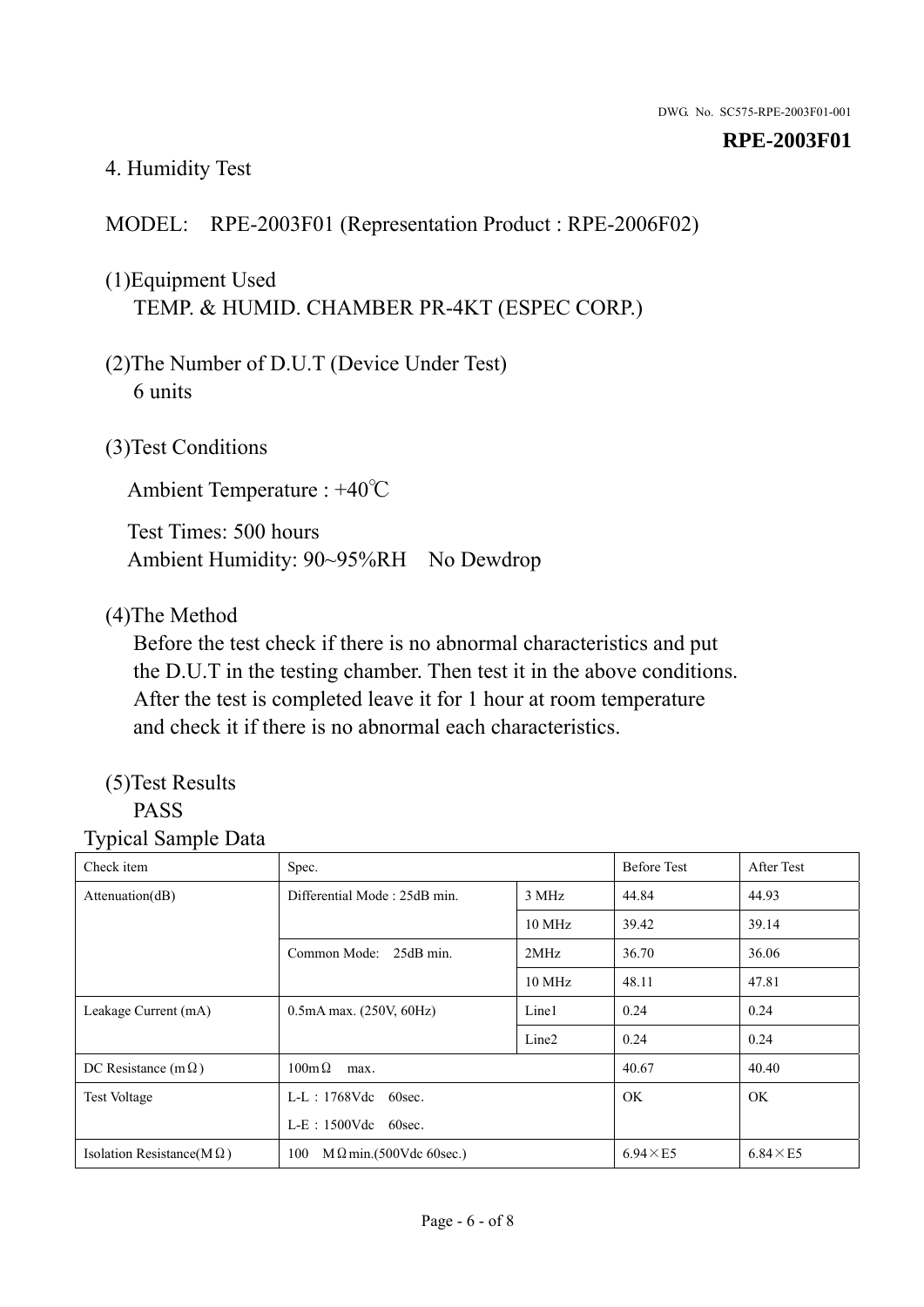# 4. Humidity Test

# MODEL: RPE-2003F01 (Representation Product : RPE-2006F02)

# (1)Equipment Used TEMP. & HUMID. CHAMBER PR-4KT (ESPEC CORP.)

- (2)The Number of D.U.T (Device Under Test) 6 units
- (3)Test Conditions

Ambient Temperature : +40℃

Test Times: 500 hours Ambient Humidity: 90~95%RH No Dewdrop

## (4)The Method

Before the test check if there is no abnormal characteristics and put the D.U.T in the testing chamber. Then test it in the above conditions. After the test is completed leave it for 1 hour at room temperature and check it if there is no abnormal each characteristics.

# (5)Test Results

# PASS

| . .<br>Check item                 | Spec.                                 |                   | <b>Before Test</b> | After Test      |
|-----------------------------------|---------------------------------------|-------------------|--------------------|-----------------|
| Attention(dB)                     | Differential Mode: 25dB min.<br>3 MHz |                   | 44.84              | 44.93           |
|                                   |                                       | 10 MHz            | 39.42              | 39.14           |
|                                   | Common Mode: 25dB min.                | 2MHz              | 36.70              | 36.06           |
|                                   |                                       | 10 MHz            | 48.11              | 47.81           |
| Leakage Current (mA)              | $0.5mA$ max. $(250V, 60Hz)$           | Line1             | 0.24               | 0.24            |
|                                   |                                       | Line <sub>2</sub> | 0.24               | 0.24            |
| DC Resistance (m $\Omega$ )       | $100m\Omega$<br>max.                  |                   | 40.67              | 40.40           |
| <b>Test Voltage</b>               | $L-L$ : 1768Vdc 60sec.                |                   | <b>OK</b>          | OK.             |
|                                   | $L-E$ : 1500Vdc 60sec.                |                   |                    |                 |
| Isolation Resistance( $M\Omega$ ) | 100<br>$M \Omega$ min.(500Vdc 60sec.) |                   | $6.94 \times E5$   | $6.84\times E5$ |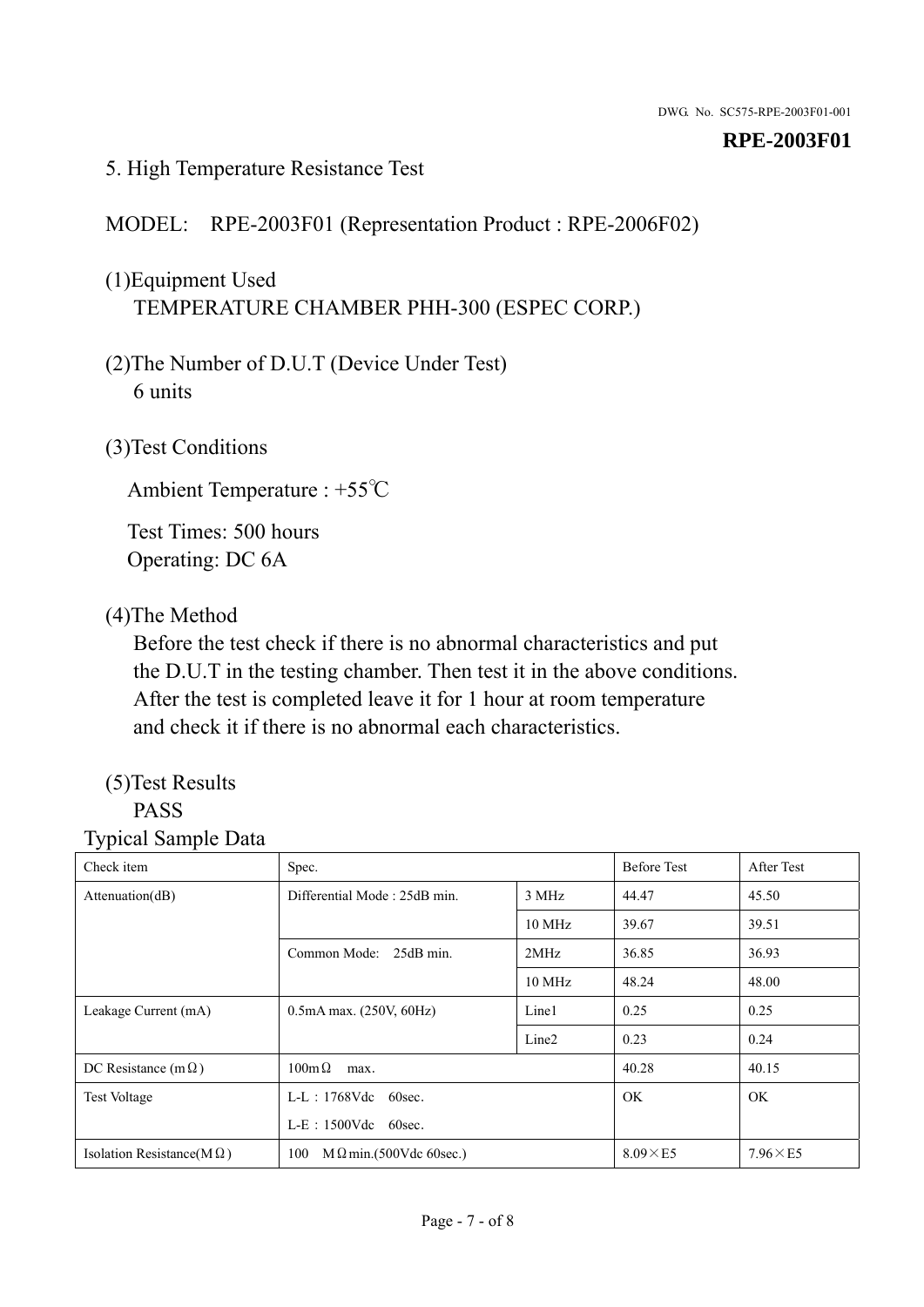## 5. High Temperature Resistance Test

# MODEL: RPE-2003F01 (Representation Product : RPE-2006F02)

# (1)Equipment Used TEMPERATURE CHAMBER PHH-300 (ESPEC CORP.)

- (2)The Number of D.U.T (Device Under Test) 6 units
- (3)Test Conditions

Ambient Temperature : +55℃

Test Times: 500 hours Operating: DC 6A

## (4)The Method

Before the test check if there is no abnormal characteristics and put the D.U.T in the testing chamber. Then test it in the above conditions. After the test is completed leave it for 1 hour at room temperature and check it if there is no abnormal each characteristics.

# (5)Test Results

# PASS

| ັ່<br>л.<br>Check item            | Spec.                                 |                   | <b>Before Test</b> | After Test      |
|-----------------------------------|---------------------------------------|-------------------|--------------------|-----------------|
| Attenuation(dB)                   | Differential Mode: 25dB min.          | 3 MHz             |                    | 45.50           |
|                                   |                                       | 10 MHz            | 39.67              | 39.51           |
|                                   | Common Mode: 25dB min.                | 2MHz              | 36.85              | 36.93           |
|                                   |                                       | 10 MHz            | 48.24              | 48.00           |
| Leakage Current (mA)              | $0.5mA$ max. $(250V, 60Hz)$           | Line1             | 0.25               | 0.25            |
|                                   |                                       | Line <sub>2</sub> | 0.23               | 0.24            |
| DC Resistance (m $\Omega$ )       | $100 \text{m}\,\Omega$<br>max.        |                   | 40.28              | 40.15           |
| <b>Test Voltage</b>               | $L-L$ : 1768Vdc 60sec.                |                   | OK.                | OK.             |
|                                   | $L-E$ : 1500Vdc 60sec.                |                   |                    |                 |
| Isolation Resistance(M $\Omega$ ) | $M \Omega$ min.(500Vdc 60sec.)<br>100 |                   | $8.09\times E5$    | $7.96\times E5$ |